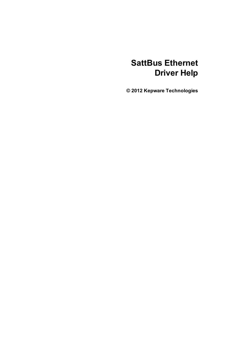# **SattBus Ethernet Driver Help**

**© 2012 Kepware Technologies**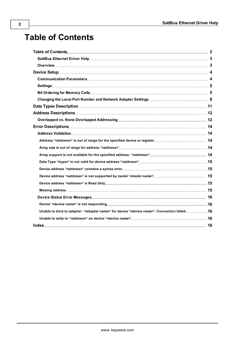# <span id="page-1-0"></span>**Table of Contents**

| Unable to bind to adapter: ' <adapter name="">' for device '<device name="">'. Connection failed 16</device></adapter> |  |
|------------------------------------------------------------------------------------------------------------------------|--|
|                                                                                                                        |  |
|                                                                                                                        |  |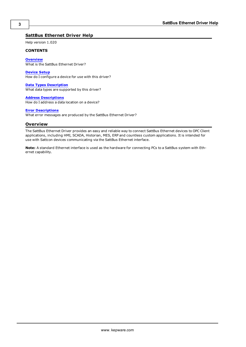# <span id="page-2-0"></span>**SattBus Ethernet Driver Help**

Help version 1.020

#### **CONTENTS**

**[Overview](#page-2-1)** What is the SattBus Ethernet Driver?

**[Device](#page-3-0) [Setup](#page-3-0)** How do I configure a device for use with this driver?

**[Data](#page-10-0) [Types](#page-10-0) [Description](#page-10-0)** What data types are supported by this driver?

**[Address](#page-11-0) [Descriptions](#page-11-0)** How do I address a data location on a device?

#### **[Error](#page-13-0) [Descriptions](#page-13-0)**

<span id="page-2-1"></span>What error messages are produced by the SattBus Ethernet Driver?

# **Overview**

The SattBus Ethernet Driver provides an easy and reliable way to connect SattBus Ethernet devices to OPC Client applications, including HMI, SCADA, Historian, MES, ERP and countless custom applications. It is intended for use with Sattcon devices communicating via the SattBus Ethernet interface.

**Note:** A standard Ethernet interface is used as the hardware for connecting PCs to a SattBus system with Ethernet capability.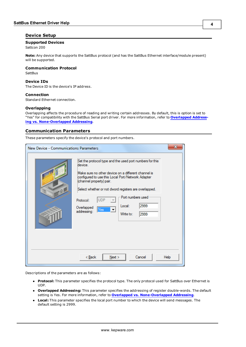# <span id="page-3-0"></span>**Device Setup**

## **Supported Devices**

Sattcon 200

**Note:** Any device that supports the SattBus protocol (and has the SattBus Ethernet interface/module present) will be supported.

# **Communication Protocol**

<span id="page-3-2"></span>**SattBus** 

#### **Device IDs**

The Device ID is the device's IP address.

#### **Connection**

Standard Ethernet connection.

#### **Overlapping**

Overlapping affects the procedure of reading and writing certain addresses. By default, this is option is set to "Yes" for compatibility with the SattBus Serial port driver. For more information, refer to **[Overlapped](#page-11-1) [Address](#page-11-1)[ing](#page-11-1) [vs.](#page-11-1) [None-Overlapped](#page-11-1) [Addressing](#page-11-1)**.

## <span id="page-3-1"></span>**Communication Parameters**

These parameters specify the device's protocol and port numbers.

| New Device - Communications Parameters |                                                                                                                                                                                                                                                                                                                                                                                                                             | x    |
|----------------------------------------|-----------------------------------------------------------------------------------------------------------------------------------------------------------------------------------------------------------------------------------------------------------------------------------------------------------------------------------------------------------------------------------------------------------------------------|------|
| 10B                                    | Set the protocol type and the used port numbers for this<br>device.<br>Make sure no other device on a different channel is<br>configured to use this Local Port/Network Adapter<br>(channel property) pair.<br>Select whether or not dword registers are overlapped.<br>Port numbers used<br><b>UDP</b><br>Protocol:<br>2999<br>Local:<br>Overlapped<br>Yes<br>$\overline{\phantom{0}}$<br>addressing:<br>2999<br>Write to: |      |
|                                        | Next ><br>Cancel<br>< <u>B</u> ack                                                                                                                                                                                                                                                                                                                                                                                          | Help |

Descriptions of the parameters are as follows:

- **Protocol:** This parameter specifies the protocol type. The only protocol used for SattBus over Ethernet is UDP.
- **· Overlapped Addressing:** This parameter specifies the addressing of register double-words. The default setting is Yes. For more information, refer to **[Overlapped](#page-11-1) [vs.](#page-11-1) [None-Overlapped](#page-11-1) [Addressing](#page-11-1)**.
- **Local:** This parameter specifies the local port number to which the device will send messages. The default setting is 2999.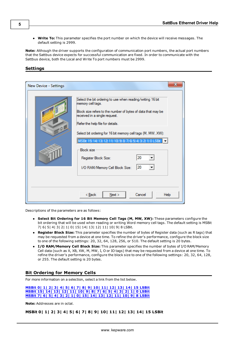Write To: This parameter specifies the port number on which the device will receive messages. The default setting is 2999.

**Note:** Although the driver supports the configuration of communication port numbers, the actual port numbers that the Sattbus device expects for successful communication are fixed. In order to communicate with the Sattbus device, both the Local and Write To port numbers must be 2999.

<span id="page-4-0"></span>**Settings**

| New Device - Settings |                                                                                                                                                                                                                                                                                                                                                                                                                                                      |
|-----------------------|------------------------------------------------------------------------------------------------------------------------------------------------------------------------------------------------------------------------------------------------------------------------------------------------------------------------------------------------------------------------------------------------------------------------------------------------------|
| , Q B                 | Select the bit ordering to use when reading/writing 16 bit<br>memory cell tags.<br>Block size refers to the number of bytes of data that may be<br>received in a single request.<br>Refer the help file for details.<br>Select bit ordering for 16 bit memory cell tags (M, MW, XW):<br>MSBit 15  14  13  12  11  10  9  8  7  6  5  4  3  2  1  0 LSBit<br><b>Block size</b><br>20<br>Register Block Size:<br>20<br>I/O RAM/Memory Cell Block Size: |
|                       | < <u>B</u> ack<br>Next<br>Cancel<br>Help                                                                                                                                                                                                                                                                                                                                                                                                             |

Descriptions of the parameters are as follows:

- **Select Bit Ordering for 16 Bit Memory Cell Tags (M, MW, XW):** These parameters configure the bit ordering that will be used when reading or writing Word memory cell tags. The default setting is MSBit 7| 6| 5| 4| 3| 2| 1| 0| 15| 14| 13| 12| 11| 10| 9| 8 LSBit.
- **Register Block Size:** This parameter specifies the number of bytes of Register data (such as R tags) that may be requested from a device at one time. To refine the driver's performance, configure the block size to one of the following settings: 20, 32, 64, 128, 256, or 510. The default setting is 20 bytes.
- **I/O RAM/Memory Cell Block Size:** This parameter specifies the number of bytes of I/O RAM/Memory Cell data (such as X, XB, XW, M, MW, I, O or IO tags) that may be requested from a device at one time. To refine the driver's performance, configure the block size to one of the following settings: 20, 32, 64, 128, or 255. The default setting is 20 bytes.

# <span id="page-4-1"></span>**Bit Ordering for Memory Cells**

For more information on a selection, select a link from the list below.

**[MSBit](#page-4-2) [0|](#page-4-2) [1|](#page-4-2) [2|](#page-4-2) [3|](#page-4-2) [4|](#page-4-2) [5|](#page-4-2) [6|](#page-4-2) [7|](#page-4-2) [8|](#page-4-2) [9|](#page-4-2) [10|](#page-4-2) [11|](#page-4-2) [12|](#page-4-2) [13|](#page-4-2) [14|](#page-4-2) [15](#page-4-2) [LSBit](#page-4-2) [MSBit](#page-5-0) [15|](#page-5-0) [14|](#page-5-0) [13|](#page-5-0) [12|](#page-5-0) [11|](#page-5-0) [10|](#page-5-0) [9|](#page-5-0) [8|](#page-5-0) [7|](#page-5-0) [6|](#page-5-0) [5|](#page-5-0) [4|](#page-5-0) [3|](#page-5-0) [2|](#page-5-0) [1|](#page-5-0) [0](#page-5-0) [LSBit](#page-5-0) [MSBit](#page-6-0) [7|](#page-6-0) [6|](#page-6-0) [5|](#page-6-0) [4|](#page-6-0) [3|](#page-6-0) [2|](#page-6-0) [1|](#page-6-0) [0|](#page-6-0) [15|](#page-6-0) [14|](#page-6-0) [13|](#page-6-0) [12|](#page-6-0) [11|](#page-6-0) [10|](#page-6-0) [9|](#page-6-0) [8](#page-6-0) [LSBit](#page-6-0)**

<span id="page-4-2"></span>**Note:** Addresses are in octal.

**MSBit 0| 1| 2| 3| 4| 5| 6| 7| 8| 9| 10| 11| 12| 13| 14| 15 LSBit**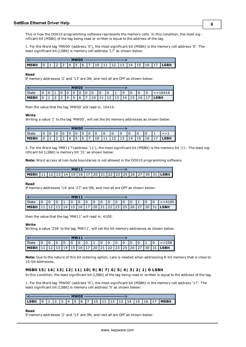This is how the DOX10 programming software represents the memory cells. In this condition, the most significant bit (MSBit) of the tag being read or written is equal to the address of the tag.

1. For the Word tag 'MW00' (address '0'), the most significant bit (MSBit) is the memory cell address '0'. The least significant bit (LSBit) is memory cell address '17' as shown below:

| . LO | $11$ $2$ $3$ $4$ |  |  |  |  |  |  | $\begin{bmatrix} 5 & 6 & 7 & 10 & 11 & 12 & 13 & 14 & 15 & 16 & 17 & \text{LSBit} \end{bmatrix}$ |
|------|------------------|--|--|--|--|--|--|--------------------------------------------------------------------------------------------------|

#### **Read**

If memory addresses '2' and '13' are ON, and rest all are OFF as shown below:

| l State |  |  |     |       |     |  |  |    |              |     | $=$ > 16416  |
|---------|--|--|-----|-------|-----|--|--|----|--------------|-----|--------------|
| l MSBit |  |  | l 4 | I 5 I | l 6 |  |  | 14 | $ 15\rangle$ | 116 | <b>LSBit</b> |

then the value that the tag 'MW00' will read is: 16416.

#### **Write**

Writing a value '1' to the tag 'MW00', will set the bit memory addresses as shown below:

| ' State |  |  |   |  |    |     |   |    |    |  | = > |
|---------|--|--|---|--|----|-----|---|----|----|--|-----|
|         |  |  | 4 |  | τU | -11 | ᆠ | د⊥ | -- |  |     |

2. For the Word tag 'MW11'\*(address '11'), the most significant bit (MSBit) is the memory bit '11'. The least significant bit (LSBit) is memory bit '31' as shown below:

**Note:** Word access at non-byte boundaries is not allowed in the DOX10 programming software.

|                                                                                               |  |  |  |  | ---------------------------- |  |  |  |  |
|-----------------------------------------------------------------------------------------------|--|--|--|--|------------------------------|--|--|--|--|
| MSBit   11   12   13   14   15   16   17   20   21   22   23   25   26   27   30   31   LSBit |  |  |  |  |                              |  |  |  |  |

#### **Read**

If memory addresses '14' and '27' are ON, and rest all are OFF as shown below:

| l State                                                                                       |  |  | 1010 | $\overline{10}$ | 10101010 |  |  | $\blacksquare$ |  | $1 = > 4100$ $\blacksquare$ |
|-----------------------------------------------------------------------------------------------|--|--|------|-----------------|----------|--|--|----------------|--|-----------------------------|
| MSBit   11   12   13   14   15   16   17   20   21   22   23   25   26   27   30   31   LSBit |  |  |      |                 |          |  |  |                |  |                             |

then the value that the tag 'MW11' will read is: 4100.

#### **Write**

Writing a value '258' to the tag 'MW11', will set the bit memory addresses as shown below:

| <b>State</b>                                                                                  |  |  |  | 10 10 10 10 11 10 |  | $\Box$ to to to to the total to the total to the total to the total to the total to the total to the total to the total to the total to the total to the total to the total to the total to the total to the total to the total |  |  |  | $1 = 258$ |
|-----------------------------------------------------------------------------------------------|--|--|--|-------------------|--|---------------------------------------------------------------------------------------------------------------------------------------------------------------------------------------------------------------------------------|--|--|--|-----------|
| MSBit   11   12   13   14   15   16   17   20   21   22   23   25   26   27   30   31   LSBit |  |  |  |                   |  |                                                                                                                                                                                                                                 |  |  |  |           |

<span id="page-5-0"></span>**Note:** Due to the nature of this bit ordering option, care is needed when addressing 8-bit memory that is close to 16-bit addresses.

### **MSBit 15| 14| 13| 12| 11| 10| 9| 8| 7| 6| 5| 4| 3| 2| 1| 0 LSBit**

In this condition, the least significant bit (LSBit) of the tag being read or written is equal to the address of the tag.

1. For the Word tag 'MW00' (address '0'), the most significant bit (MSBit) is the memory cell address '17'. The least significant bit (LSBit) is memory cell address '0' as shown below:

| LSBit  0  1  2  3  4  5  6  7  10  11  12  13  14  15  16  17  MSBit |  |  |  |  |  |  |  |  |  |
|----------------------------------------------------------------------|--|--|--|--|--|--|--|--|--|

#### **Read**

If memory addresses '2' and '13' are ON, and rest all are OFF as shown below: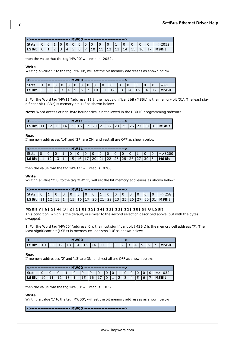| <sup>I</sup> State |  |  |    |    | 101010 |  |  |                 |      |    | $1 = 2052$   |
|--------------------|--|--|----|----|--------|--|--|-----------------|------|----|--------------|
|                    |  |  | 14 | 15 | l 6    |  |  | 14 <sup>1</sup> | l 15 | 16 | <b>MSBit</b> |

then the value that the tag 'MW00' will read is: 2052.

#### **Write**

Writing a value '1' to the tag 'MW00', will set the bit memory addresses as shown below:

| <b>State</b> |  |  |    |     |          |  |      |    |     |         |      | $=$ $>$      |
|--------------|--|--|----|-----|----------|--|------|----|-----|---------|------|--------------|
| LSBit        |  |  | 14 | 45. | <b>6</b> |  | -LZ. | 13 | 14، | $115 -$ | l 16 | <b>MSBit</b> |

2. For the Word tag 'MW11'(address '11'), the most significant bit (MSBit) is the memory bit '31'. The least significant bit (LSBit) is memory bit '11' as shown below:

**Note:** Word access at non-byte boundaries is not allowed in the DOX10 programming software.

| <b>LSBit</b>   11   12   13   14   15   16   17   20   21   22   23   25   26   27   30   31   <b>MSBit</b> |  |  |  |  |  |  |  |  |  |
|-------------------------------------------------------------------------------------------------------------|--|--|--|--|--|--|--|--|--|

#### **Read**

If memory addresses '14' and '27' are ON, and rest all are OFF as shown below:

| I State   |  |  |  |  |  |  |  |  | l =>8200                                                                                |
|-----------|--|--|--|--|--|--|--|--|-----------------------------------------------------------------------------------------|
| l LSBit l |  |  |  |  |  |  |  |  | 12   13   14   15   16   17   20   21   22   23   25   26   27   30   31   <b>MSBit</b> |

then the value that the tag 'MW11' will read is: 8200.

#### **Write**

Writing a value '258' to the tag 'MW11', will set the bit memory addresses as shown below:

| <b>State</b>                                                                                  |  |  | $10 \quad 10 \quad 10$ |  |  |  |  |  | $1 = 258$ |
|-----------------------------------------------------------------------------------------------|--|--|------------------------|--|--|--|--|--|-----------|
| LSBit   11   12   13   14   15   16   17   20   21   22   23   25   26   27   30   31   MSBit |  |  |                        |  |  |  |  |  |           |

# <span id="page-6-0"></span>**MSBit 7| 6| 5| 4| 3| 2| 1| 0| 15| 14| 13| 12| 11| 10| 9| 8 LSBit**

This condition, which is the default, is similar to the second selection described above, but with the bytes swapped.

1. For the Word tag 'MW00' (address '0'), the most significant bit (MSBit) is the memory cell address '7'. The least significant bit (LSBit) is memory cell address '10' as shown below:

| LSBit |  | 13   14   15   16   17 |  |  | $\overline{0}$ |  | $\overline{A}$ |  | <b>MSBit</b> |
|-------|--|------------------------|--|--|----------------|--|----------------|--|--------------|

#### **Read**

If memory addresses '2' and '13' are ON, and rest all are OFF as shown below:

| <b>State</b> |  |  |                       | 10 |  |  |  |     | $ 0 $ = > 1032 |
|--------------|--|--|-----------------------|----|--|--|--|-----|----------------|
| l LSBit      |  |  | 14   15   16   17   0 |    |  |  |  | l b | <b>I</b> MSBit |

then the value that the tag 'MW00' will read is: 1032.

# **Write**

Writing a value '1' to the tag 'MW00', will set the bit memory addresses as shown below:

**<-------------------------- MW00 -------------------------->**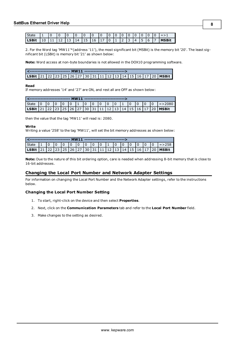| State                                                         |  |  |  |  |  |  | 1010101010101 | $\overline{0}$ | $I = 51$          |
|---------------------------------------------------------------|--|--|--|--|--|--|---------------|----------------|-------------------|
| LSBit   10   11   12   13   14   15   16   17   0   1   2   3 |  |  |  |  |  |  |               |                | $ 4 5 6 7 $ MSBit |

2. For the Word tag 'MW11'\*(address '11'), the most significant bit (MSBit) is the memory bit '20'. The least significant bit (LSBit) is memory bit '21' as shown below:

**Note:** Word access at non-byte boundaries is not allowed in the DOX10 programming software.

| LSBit   21   22   23   25   26   27   30   31   11   12   13   14   15   16   17   20   MSBit |  |  |  |  |  |  |  |  |  |
|-----------------------------------------------------------------------------------------------|--|--|--|--|--|--|--|--|--|

#### **Read**

If memory addresses '14' and '27' are ON, and rest all are OFF as shown below:

|  |  |  |  |  |  |  | 101010 |  | $l = > 2080$                                                              |
|--|--|--|--|--|--|--|--------|--|---------------------------------------------------------------------------|
|  |  |  |  |  |  |  |        |  | <b>LSBit</b> 21 22 23 25 26 27 30 31 11 12 13 14 15 16 17 20 <b>MSBit</b> |

then the value that the tag 'MW11' will read is: 2080.

#### **Write**

Writing a value '258' to the tag 'MW11', will set the bit memory addresses as shown below:

| l State                                                                                       |  |  |  | $\Box$ 0 |  | $10 -$ |  |  | $!=$ $>$ 258 |
|-----------------------------------------------------------------------------------------------|--|--|--|----------|--|--------|--|--|--------------|
| LSBit   21   22   23   25   26   27   30   31   11   12   13   14   15   16   17   20   MSBit |  |  |  |          |  |        |  |  |              |

**Note:** Due to the nature of this bit ordering option, care is needed when addressing 8-bit memory that is close to 16-bit addresses.

# <span id="page-7-0"></span>**Changing the Local Port Number and Network Adapter Settings**

For information on changing the Local Port Number and the Network Adapter settings, refer to the instructions below.

# **Changing the Local Port Number Setting**

- 1. To start, right-click on the device and then select **Properties**.
- 2. Next, click on the **Communication Parameters** tab and refer to the **Local Port Number** field.
- 3. Make changes to the setting as desired.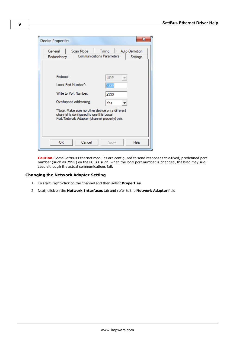| <b>Device Properties</b>                                                                                                                                                                                                          | х                                   |
|-----------------------------------------------------------------------------------------------------------------------------------------------------------------------------------------------------------------------------------|-------------------------------------|
| General<br>Scan Mode  <br><b>Communications Parameters</b><br>Redundancy                                                                                                                                                          | Auto-Demotion<br>Timing<br>Settings |
| Protocol:<br>Local Port Number*:<br>Write to Port Number:<br>Overlapped addressing<br>*Note: Make sure no other device on a different<br>channel is configured to use this Local<br>Port/Network Adapter (channel property) pair. | <b>UDP</b><br>2999<br>2999<br>Yes   |
| OК<br>Cancel                                                                                                                                                                                                                      | Help<br>Apply                       |

**Caution:** Some SattBus Ethernet modules are configured to send responses to a fixed, predefined port number (such as 2999) on the PC. As such, when the local port number is changed, the bind may succeed although the actual communications fail.

## **Changing the Network Adapter Setting**

- 1. To start, right-click on the channel and then select **Properties**.
- 2. Next, click on the **Network Interfaces** tab and refer to the **Network Adapter** field.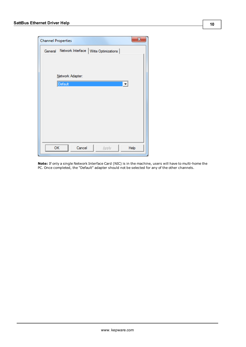| <b>Channel Properties</b> | X                                       |
|---------------------------|-----------------------------------------|
| General                   | Network Interface   Write Optimizations |
|                           |                                         |
|                           |                                         |
|                           | Network Adapter:                        |
|                           | Default<br>$\blacktriangledown$         |
|                           |                                         |
|                           |                                         |
|                           |                                         |
|                           |                                         |
|                           |                                         |
|                           |                                         |
|                           |                                         |
| OK                        | Cancel<br>Help<br>Apply                 |
|                           |                                         |

**Note:** If only a single Network Interface Card (NIC) is in the machine, users will have to multi-home the PC. Once completed, the "Default" adapter should not be selected for any of the other channels.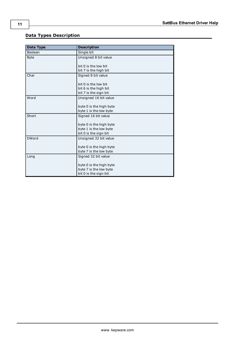# <span id="page-10-0"></span>**Data Types Description**

<span id="page-10-5"></span><span id="page-10-4"></span><span id="page-10-3"></span><span id="page-10-2"></span><span id="page-10-1"></span>

| Data Type    | <b>Description</b>      |
|--------------|-------------------------|
| Boolean      | Single bit              |
| <b>Byte</b>  | Unsigned 8 bit value    |
|              |                         |
|              | bit 0 is the low bit    |
|              | bit 7 is the high bit   |
| Char         | Signed 8 bit value      |
|              |                         |
|              | bit 0 is the low bit    |
|              | bit 6 is the high bit   |
|              | bit 7 is the sign bit   |
| Word         | Unsigned 16 bit value   |
|              |                         |
|              | byte 0 is the high byte |
|              | byte 1 is the low byte  |
| Short        | Signed 16 bit value     |
|              |                         |
|              | byte 0 is the high byte |
|              | byte 1 is the low byte  |
|              | bit 0 is the sign bit   |
| <b>DWord</b> | Unsigned 32 bit value   |
|              |                         |
|              | byte 0 is the high byte |
|              | byte 7 is the low byte  |
| Long         | Signed 32 bit value     |
|              |                         |
|              | byte 0 is the high byte |
|              | byte 7 is the low byte  |
|              | bit 0 is the sign bit   |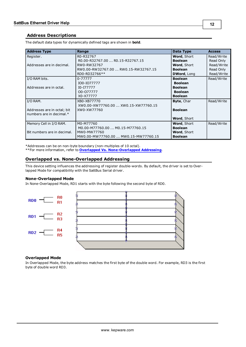# <span id="page-11-0"></span>**Address Descriptions**

| <b>Address Type</b>         | Range                                | Data Type          | <b>Access</b> |
|-----------------------------|--------------------------------------|--------------------|---------------|
| Register.                   | R0-R32767                            | Word, Short        | Read/Write    |
|                             | R0.00-R32767.00  R0.15-R32767.15     | <b>Boolean</b>     | Read Only     |
| Addresses are in decimal.   | RW0-RW32767                          | Word, Short        | Read/Write    |
|                             | RW0.00-RW32767.00  RW0.15-RW32767.15 | <b>Boolean</b>     | Read Only     |
|                             | RD0-RD32766**                        | <b>DWord, Long</b> | Read/Write    |
| I/O RAM bits.               | 0-77777                              | <b>Boolean</b>     | Read/Write    |
|                             | IO0-IO77777                          | <b>Boolean</b>     |               |
| Addresses are in octal.     | I0-I77777                            | <b>Boolean</b>     |               |
|                             | 00-077777                            | <b>Boolean</b>     |               |
|                             | X0-X77777                            | <b>Boolean</b>     |               |
| I/O RAM.                    | XB0-XB77770                          | Byte, Char         | Read/Write    |
|                             | XW0.00-XW77760.00  XW0.15-XW77760.15 |                    |               |
| Addresses are in octal; bit | XW0-XW77760                          | <b>Boolean</b>     |               |
| numbers are in decimal.*    |                                      |                    |               |
|                             |                                      | Word, Short        |               |
| Memory Cell in I/O RAM.     | M0-M77760                            | Word, Short        | Read/Write    |
|                             | M0.00-M77760.00  M0.15-M77760.15     | <b>Boolean</b>     |               |
| Bit numbers are in decimal. | MW0-MW77760                          | <b>Word, Short</b> |               |
|                             | MW0.00-MW77760.00  MW0.15-MW77760.15 | <b>Boolean</b>     |               |

The default data types for dynamically defined tags are shown in **bold**.

\*Addresses can be on non-byte boundary (non-multiples of 10 octal). \*\*For more information, refer to **[Overlapped](#page-11-1) [Vs.](#page-11-1) [None-Overlapped](#page-11-1) [Addressing](#page-11-1)**.

# <span id="page-11-1"></span>**Overlapped vs. None-Overlapped Addressing**

This device setting influences the addressing of register double-words. By default, the driver is set to Overlapped Mode for compatibility with the SattBus Serial driver.

#### **None-Overlapped Mode**

In None-Overlapped Mode, RD1 starts with the byte following the second byte of RD0.



# **Overlapped Mode**

In Overlapped Mode, the byte address matches the first byte of the double word. For example, RD3 is the first byte of double word RD3.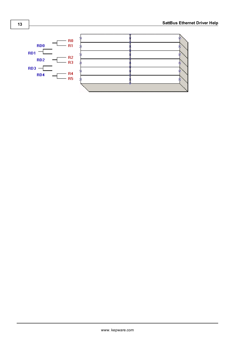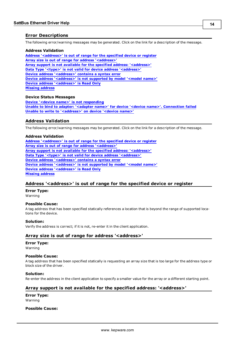# <span id="page-13-0"></span>**Error Descriptions**

The following error/warning messages may be generated. Click on the link for a description of the message.

#### **Address Validation**

**[Address](#page-13-2) ['<address>'](#page-13-2) [is](#page-13-2) [out](#page-13-2) [of](#page-13-2) [range](#page-13-2) [for](#page-13-2) [the](#page-13-2) [specified](#page-13-2) [device](#page-13-2) [or](#page-13-2) [register](#page-13-2) [Array](#page-13-3) [size](#page-13-3) [is](#page-13-3) [out](#page-13-3) [of](#page-13-3) [range](#page-13-3) [for](#page-13-3) [address](#page-13-3) ['<address>'](#page-13-3) [Array](#page-13-4) [support](#page-13-4) [is](#page-13-4) [not](#page-13-4) [available](#page-13-4) [for](#page-13-4) [the](#page-13-4) [specified](#page-13-4) [address:](#page-13-4) ['<address>'](#page-13-4) [Data](#page-14-0) [Type](#page-14-0) ['<type>'](#page-14-0) [is](#page-14-0) [not](#page-14-0) [valid](#page-14-0) [for](#page-14-0) [device](#page-14-0) [address](#page-14-0) ['<address>'](#page-14-0) [Device](#page-14-1) [address](#page-14-1) ['<address>'](#page-14-1) [contains](#page-14-1) [a](#page-14-1) [syntax](#page-14-1) [error](#page-14-1) [Device](#page-14-2) [address](#page-14-2) ['<address>'](#page-14-2) [is](#page-14-2) [not](#page-14-2) [supported](#page-14-2) [by](#page-14-2) [model](#page-14-2) ['<model](#page-14-2) [name>'](#page-14-2) [Device](#page-14-3) [address](#page-14-3) ['<address>'](#page-14-3) [is](#page-14-3) [Read](#page-14-3) [Only](#page-14-3) [Missing](#page-14-4) [address](#page-14-4)**

## **Device Status Messages**

**[Device](#page-15-1) ['<device](#page-15-1) [name>'](#page-15-1) [is](#page-15-1) [not](#page-15-1) [responding](#page-15-1) [Unable](#page-15-2) [to](#page-15-2) [bind](#page-15-2) [to](#page-15-2) [adapter:](#page-15-2) ['<adapter](#page-15-2) [name>'](#page-15-2) [for](#page-15-2) [device](#page-15-2) ['<device](#page-15-2) [name>'.](#page-15-2) [Connection](#page-15-2) [failed](#page-15-2) [Unable](#page-15-3) [to](#page-15-3) [write](#page-15-3) [to](#page-15-3) ['<address>'](#page-15-3) [on](#page-15-3) [device](#page-15-3) ['<device](#page-15-3) [name>'](#page-15-3)**

# <span id="page-13-1"></span>**Address Validation**

The following error/warning messages may be generated. Click on the link for a description of the message.

#### **Address Validation**

**[Address](#page-13-2) ['<address>'](#page-13-2) [is](#page-13-2) [out](#page-13-2) [of](#page-13-2) [range](#page-13-2) [for](#page-13-2) [the](#page-13-2) [specified](#page-13-2) [device](#page-13-2) [or](#page-13-2) [register](#page-13-2) [Array](#page-13-3) [size](#page-13-3) [is](#page-13-3) [out](#page-13-3) [of](#page-13-3) [range](#page-13-3) [for](#page-13-3) [address](#page-13-3) ['<address>'](#page-13-3) [Array](#page-13-4) [support](#page-13-4) [is](#page-13-4) [not](#page-13-4) [available](#page-13-4) [for](#page-13-4) [the](#page-13-4) [specified](#page-13-4) [address:](#page-13-4) ['<address>'](#page-13-4) [Data](#page-14-0) [Type](#page-14-0) ['<type>'](#page-14-0) [is](#page-14-0) [not](#page-14-0) [valid](#page-14-0) [for](#page-14-0) [device](#page-14-0) [address](#page-14-0) ['<address>'](#page-14-0) [Device](#page-14-1) [address](#page-14-1) ['<address>'](#page-14-1) [contains](#page-14-1) [a](#page-14-1) [syntax](#page-14-1) [error](#page-14-1) [Device](#page-14-2) [address](#page-14-2) ['<address>'](#page-14-2) [is](#page-14-2) [not](#page-14-2) [supported](#page-14-2) [by](#page-14-2) [model](#page-14-2) ['<model](#page-14-2) [name>'](#page-14-2) [Device](#page-14-3) [address](#page-14-3) ['<address>'](#page-14-3) [is](#page-14-3) [Read](#page-14-3) [Only](#page-14-3) [Missing](#page-14-4) [address](#page-14-4)**

# <span id="page-13-2"></span>**Address '<address>' is out of range for the specified device or register**

**Error Type:**

Warning

#### **Possible Cause:**

A tag address that has been specified statically references a location that is beyond the range of supported locations for the device.

#### **Solution:**

<span id="page-13-3"></span>Verify the address is correct; if it is not, re-enter it in the client application.

# Array size is out of range for address '<address>'

# **Error Type:**

Warning

#### **Possible Cause:**

A tag address that has been specified statically is requesting an array size that is too large for the address type or block size of the driver.

#### **Solution:**

<span id="page-13-4"></span>Re-enter the address in the client application to specify a smaller value for the array or a different starting point.

# Array support is not available for the specified address: '<address>'

**Error Type:** Warning

#### **Possible Cause:**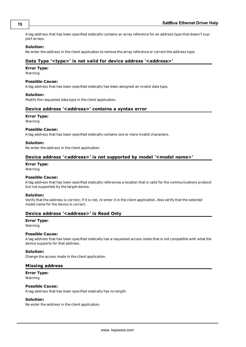A tag address that has been specified statically contains an array reference for an address type that doesn't support arrays.

## **Solution:**

<span id="page-14-0"></span>Re-enter the address in the client application to remove the array reference or correct the address type.

# Data Type '<type>' is not valid for device address '<address>'

#### **Error Type:**

Warning

#### **Possible Cause:**

A tag address that has been specified statically has been assigned an invalid data type.

#### **Solution:**

<span id="page-14-1"></span>Modify the requested data type in the client application.

## Device address '<address>' contains a syntax error

#### **Error Type:**

Warning

#### **Possible Cause:**

A tag address that has been specified statically contains one or more invalid characters.

#### **Solution:**

<span id="page-14-2"></span>Re-enter the address in the client application.

# Device address '<address>' is not supported by model '<model name>'

#### **Error Type:**

Warning

# **Possible Cause:**

A tag address that has been specified statically references a location that is valid for the communications protocol but not supported by the target device.

#### **Solution:**

Verify that the address is correct; if it is not, re-enter it in the client application. Also verify that the selected model name for the device is correct.

# <span id="page-14-3"></span>**Device address '<address>' is Read Only**

#### **Error Type:**

Warning

### **Possible Cause:**

A tag address that has been specified statically has a requested access mode that is not compatible with what the device supports for that address.

#### **Solution:**

<span id="page-14-4"></span>Change the access mode in the client application.

#### **Missing address**

**Error Type:** Warning

#### **Possible Cause:**

A tag address that has been specified statically has no length.

#### **Solution:**

Re-enter the address in the client application.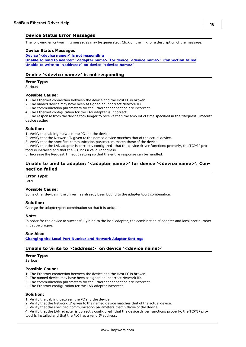# <span id="page-15-0"></span>**Device Status Error Messages**

The following error/warning messages may be generated. Click on the link for a description of the message.

#### **Device Status Messages**

**[Device](#page-15-1) ['<device](#page-15-1) [name>'](#page-15-1) [is](#page-15-1) [not](#page-15-1) [responding](#page-15-1) [Unable](#page-15-2) [to](#page-15-2) [bind](#page-15-2) [to](#page-15-2) [adapter:](#page-15-2) ['<adapter](#page-15-2) [name>'](#page-15-2) [for](#page-15-2) [device](#page-15-2) ['<device](#page-15-2) [name>'.](#page-15-2) [Connection](#page-15-2) [failed](#page-15-2) [Unable](#page-15-3) [to](#page-15-3) [write](#page-15-3) [to](#page-15-3) ['<address>'](#page-15-3) [on](#page-15-3) [device](#page-15-3) ['<device](#page-15-3) [name>'](#page-15-3)**

## <span id="page-15-1"></span>**Device '<device name>' is not responding**

#### **Error Type:**

Serious

#### **Possible Cause:**

1. The Ethernet connection between the device and the Host PC is broken.

- 2. The named device may have been assigned an incorrect Network ID.
- 3. The communication parameters for the Ethernet connection are incorrect.
- 4. The Ethernet configuration for the LAN adapter is incorrect.

5. The response from the device took longer to receive than the amount of time specified in the "Request Timeout" device setting.

#### **Solution:**

1. Verify the cabling between the PC and the device.

2. Verify that the Network ID given to the named device matches that of the actual device.

3. Verify that the specified communication parameters match those of the device.

4. Verify that the LAN adapter is correctly configured: that the device driver functions properly, the TCP/IP pro-

tocol is installed and that the PLC has a valid IP address.

<span id="page-15-2"></span>5. Increase the Request Timeout setting so that the entire response can be handled.

# Unable to bind to adapter: '<adapter name>' for device '<device name>'. Con**nection failed**

## **Error Type:**

Fatal

#### **Possible Cause:**

Some other device in the driver has already been bound to the adapter/port combination.

#### **Solution:**

Change the adapter/port combination so that it is unique.

#### **Note:**

In order for the device to successfully bind to the local adapter, the combination of adapter and local port number must be unique.

#### **See Also:**

<span id="page-15-3"></span>**[Changing](#page-7-0) [the](#page-7-0) [Local](#page-7-0) [Port](#page-7-0) [Number](#page-7-0) [and](#page-7-0) [Network](#page-7-0) [Adapter](#page-7-0) [Settings](#page-7-0)**

#### Unable to write to '<address>' on device '<device name>'

#### **Error Type:**

Serious

#### **Possible Cause:**

- 1. The Ethernet connection between the device and the Host PC is broken.
- 2. The named device may have been assigned an incorrect Network ID.
- 3. The communication parameters for the Ethernet connection are incorrect.
- 4. The Ethernet configuration for the LAN adapter incorrect.

#### **Solution:**

- 1. Verify the cabling between the PC and the device.
- 2. Verify that the Network ID given to the named device matches that of the actual device.
- 3. Verify that the specified communication parameters match those of the device.

4. Verify that the LAN adapter is correctly configured: that the device driver functions properly, the TCP/IP protocol is installed and that the PLC has a valid IP address.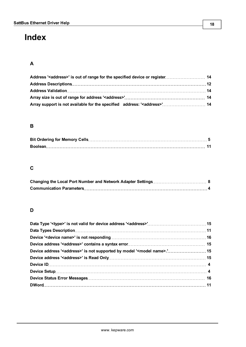# <span id="page-17-0"></span>**Index**

# **A**

| Address Descriptions……………………………………………………………………………………… 12                            |  |
|-------------------------------------------------------------------------------------|--|
|                                                                                     |  |
|                                                                                     |  |
| Array support is not available for the specified address: ' <address>' 14</address> |  |

# **B**

# **C**

# **D**

| Device address ' <address>' is not supported by model '<model name="">.' 15</model></address> |  |
|-----------------------------------------------------------------------------------------------|--|
|                                                                                               |  |
|                                                                                               |  |
|                                                                                               |  |
|                                                                                               |  |
|                                                                                               |  |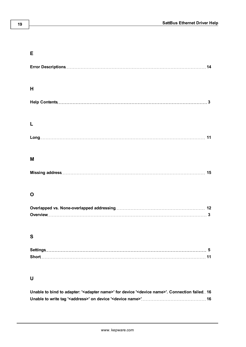# **E**

| H |    |
|---|----|
|   | 3  |
|   |    |
|   | 11 |
| M |    |
|   | 15 |

# **O**

# **S**

| Short |  |
|-------|--|

# **U**

| Unable to bind to adapter: ' <adapter name="">' for device '<device name="">'. Connection failed . 16</device></adapter> |  |
|--------------------------------------------------------------------------------------------------------------------------|--|
|                                                                                                                          |  |